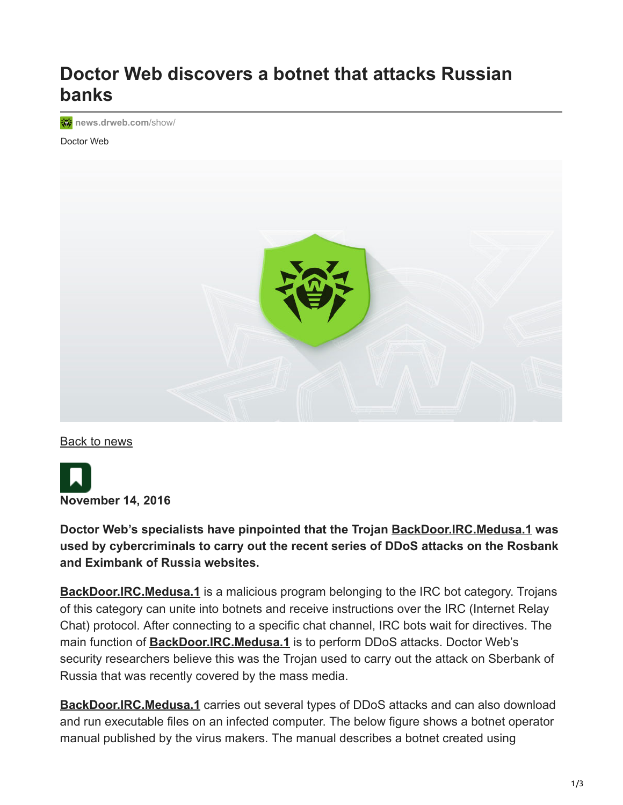## **Doctor Web discovers a botnet that attacks Russian banks**

*i***s [news.drweb.com](https://news.drweb.com/show/?i=10302&lng=en)/show/** 

Doctor Web



[Back to news](https://news.drweb.com/list/?p=0&lng=en&c=5)



**Doctor Web's specialists have pinpointed that the Trojan [BackDoor.IRC.Medusa.1](https://vms.drweb.com/search/?q=BackDoor.IRC.Medusa.1&lng=en) was used by cybercriminals to carry out the recent series of DDoS attacks on the Rosbank and Eximbank of Russia websites.**

**[BackDoor.IRC.Medusa.1](https://vms.drweb.com/search/?q=BackDoor.IRC.Medusa.1&lng=en)** is a malicious program belonging to the IRC bot category. Trojans of this category can unite into botnets and receive instructions over the IRC (Internet Relay Chat) protocol. After connecting to a specific chat channel, IRC bots wait for directives. The main function of **[BackDoor.IRC.Medusa.1](https://vms.drweb.com/search/?q=BackDoor.IRC.Medusa.1&lng=en)** is to perform DDoS attacks. Doctor Web's security researchers believe this was the Trojan used to carry out the attack on Sberbank of Russia that was recently covered by the mass media.

**[BackDoor.IRC.Medusa.1](https://vms.drweb.com/search/?q=BackDoor.IRC.Medusa.1&lng=en)** carries out several types of DDoS attacks and can also download and run executable files on an infected computer. The below figure shows a botnet operator manual published by the virus makers. The manual describes a botnet created using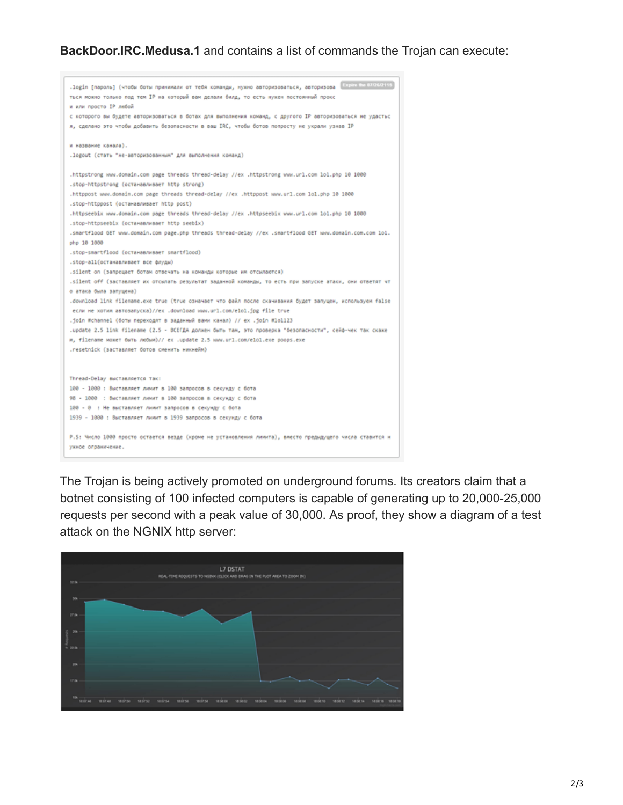## **[BackDoor.IRC.Medusa.1](https://vms.drweb.com/search/?q=BackDoor.IRC.Medusa.1&lng=en)** and contains a list of commands the Trojan can execute:



The Trojan is being actively promoted on underground forums. Its creators claim that a botnet consisting of 100 infected computers is capable of generating up to 20,000-25,000 requests per second with a peak value of 30,000. As proof, they show a diagram of a test attack on the NGNIX http server: